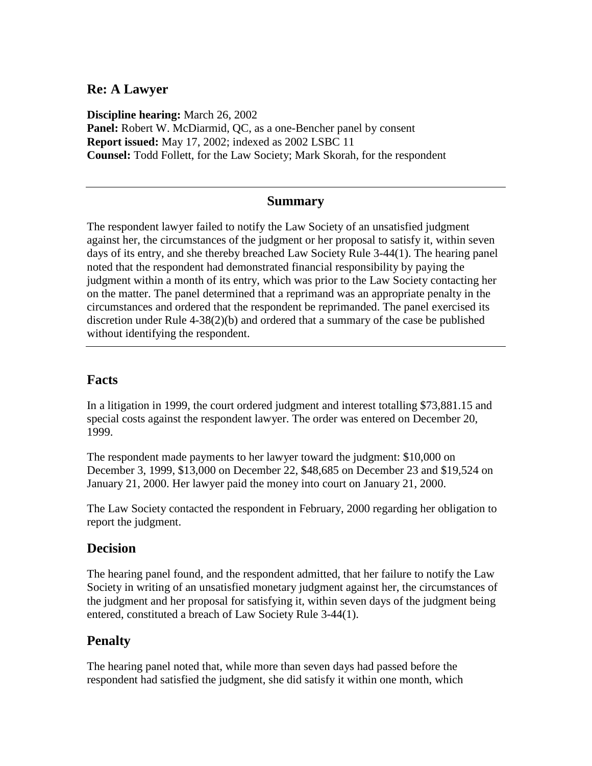### **Re: A Lawyer**

**Discipline hearing:** March 26, 2002 **Panel:** Robert W. McDiarmid, QC, as a one-Bencher panel by consent **Report issued:** May 17, 2002; indexed as 2002 LSBC 11 **Counsel:** Todd Follett, for the Law Society; Mark Skorah, for the respondent

#### **Summary**

The respondent lawyer failed to notify the Law Society of an unsatisfied judgment against her, the circumstances of the judgment or her proposal to satisfy it, within seven days of its entry, and she thereby breached Law Society Rule 3-44(1). The hearing panel noted that the respondent had demonstrated financial responsibility by paying the judgment within a month of its entry, which was prior to the Law Society contacting her on the matter. The panel determined that a reprimand was an appropriate penalty in the circumstances and ordered that the respondent be reprimanded. The panel exercised its discretion under Rule 4-38(2)(b) and ordered that a summary of the case be published without identifying the respondent.

## **Facts**

In a litigation in 1999, the court ordered judgment and interest totalling \$73,881.15 and special costs against the respondent lawyer. The order was entered on December 20, 1999.

The respondent made payments to her lawyer toward the judgment: \$10,000 on December 3, 1999, \$13,000 on December 22, \$48,685 on December 23 and \$19,524 on January 21, 2000. Her lawyer paid the money into court on January 21, 2000.

The Law Society contacted the respondent in February, 2000 regarding her obligation to report the judgment.

#### **Decision**

The hearing panel found, and the respondent admitted, that her failure to notify the Law Society in writing of an unsatisfied monetary judgment against her, the circumstances of the judgment and her proposal for satisfying it, within seven days of the judgment being entered, constituted a breach of Law Society Rule 3-44(1).

# **Penalty**

The hearing panel noted that, while more than seven days had passed before the respondent had satisfied the judgment, she did satisfy it within one month, which